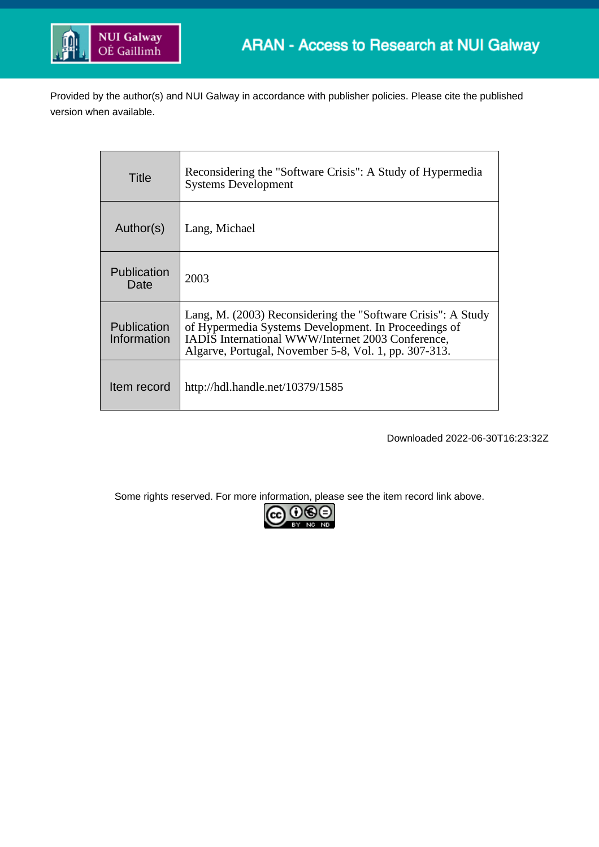

Provided by the author(s) and NUI Galway in accordance with publisher policies. Please cite the published version when available.

| Title                             | Reconsidering the "Software Crisis": A Study of Hypermedia<br><b>Systems Development</b>                                                                                                                                           |
|-----------------------------------|------------------------------------------------------------------------------------------------------------------------------------------------------------------------------------------------------------------------------------|
| Author(s)                         | Lang, Michael                                                                                                                                                                                                                      |
| Publication<br>Date               | 2003                                                                                                                                                                                                                               |
| <b>Publication</b><br>Information | Lang, M. (2003) Reconsidering the "Software Crisis": A Study<br>of Hypermedia Systems Development. In Proceedings of<br>IADIS International WWW/Internet 2003 Conference,<br>Algarve, Portugal, November 5-8, Vol. 1, pp. 307-313. |
| Item record                       | http://hdl.handle.net/10379/1585                                                                                                                                                                                                   |

Downloaded 2022-06-30T16:23:32Z

Some rights reserved. For more information, please see the item record link above.

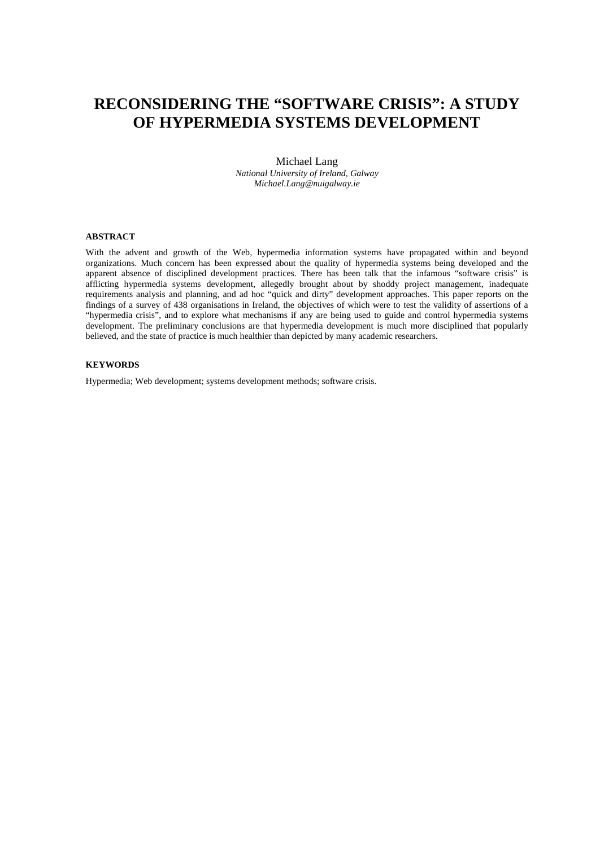# **RECONSIDERING THE "SOFTWARE CRISIS": A STUDY OF HYPERMEDIA SYSTEMS DEVELOPMENT**

#### Michael Lang

*National University of Ireland, Galway Michael.Lang@nuigalway.ie*

#### **ABSTRACT**

With the advent and growth of the Web, hypermedia information systems have propagated within and beyond organizations. Much concern has been expressed about the quality of hypermedia systems being developed and the apparent absence of disciplined development practices. There has been talk that the infamous "software crisis" is afflicting hypermedia systems development, allegedly brought about by shoddy project management, inadequate requirements analysis and planning, and ad hoc "quick and dirty" development approaches. This paper reports on the findings of a survey of 438 organisations in Ireland, the objectives of which were to test the validity of assertions of a "hypermedia crisis", and to explore what mechanisms if any are being used to guide and control hypermedia systems development. The preliminary conclusions are that hypermedia development is much more disciplined that popularly believed, and the state of practice is much healthier than depicted by many academic researchers.

#### **KEYWORDS**

Hypermedia; Web development; systems development methods; software crisis.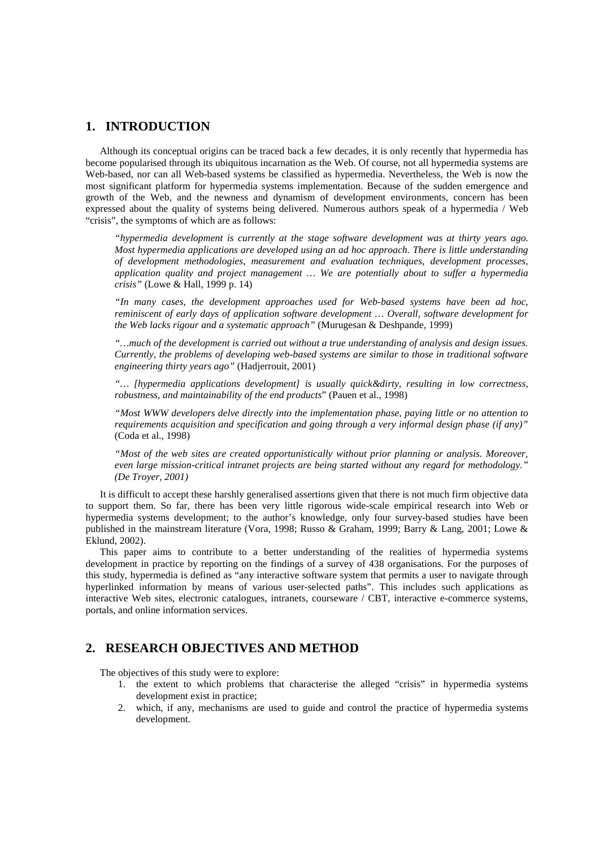# **1. INTRODUCTION**

Although its conceptual origins can be traced back a few decades, it is only recently that hypermedia has become popularised through its ubiquitous incarnation as the Web. Of course, not all hypermedia systems are Web-based, nor can all Web-based systems be classified as hypermedia. Nevertheless, the Web is now the most significant platform for hypermedia systems implementation. Because of the sudden emergence and growth of the Web, and the newness and dynamism of development environments, concern has been expressed about the quality of systems being delivered. Numerous authors speak of a hypermedia / Web "crisis", the symptoms of which are as follows:

*"hypermedia development is currently at the stage software development was at thirty years ago. Most hypermedia applications are developed using an ad hoc approach. There is little understanding of development methodologies, measurement and evaluation techniques, development processes, application quality and project management … We are potentially about to suffer a hypermedia crisis"* (Lowe & Hall, 1999 p. 14)

*"In many cases, the development approaches used for Web-based systems have been ad hoc, reminiscent of early days of application software development … Overall, software development for the Web lacks rigour and a systematic approach"* (Murugesan & Deshpande, 1999)

*"…much of the development is carried out without a true understanding of analysis and design issues. Currently, the problems of developing web-based systems are similar to those in traditional software engineering thirty years ago"* (Hadjerrouit, 2001)

*"… [hypermedia applications development] is usually quick&dirty, resulting in low correctness, robustness, and maintainability of the end products*" (Pauen et al., 1998)

*"Most WWW developers delve directly into the implementation phase, paying little or no attention to requirements acquisition and specification and going through a very informal design phase (if any)"*  (Coda et al., 1998)

*"Most of the web sites are created opportunistically without prior planning or analysis. Moreover, even large mission-critical intranet projects are being started without any regard for methodology." (De Troyer, 2001)*

It is difficult to accept these harshly generalised assertions given that there is not much firm objective data to support them. So far, there has been very little rigorous wide-scale empirical research into Web or hypermedia systems development; to the author's knowledge, only four survey-based studies have been published in the mainstream literature (Vora, 1998; Russo & Graham, 1999; Barry & Lang, 2001; Lowe & Eklund, 2002).

This paper aims to contribute to a better understanding of the realities of hypermedia systems development in practice by reporting on the findings of a survey of 438 organisations. For the purposes of this study*,* hypermedia is defined as "any interactive software system that permits a user to navigate through hyperlinked information by means of various user-selected paths". This includes such applications as interactive Web sites, electronic catalogues, intranets, courseware / CBT, interactive e-commerce systems, portals, and online information services.

# **2. RESEARCH OBJECTIVES AND METHOD**

The objectives of this study were to explore:

- 1. the extent to which problems that characterise the alleged "crisis" in hypermedia systems development exist in practice;
- 2. which, if any, mechanisms are used to guide and control the practice of hypermedia systems development.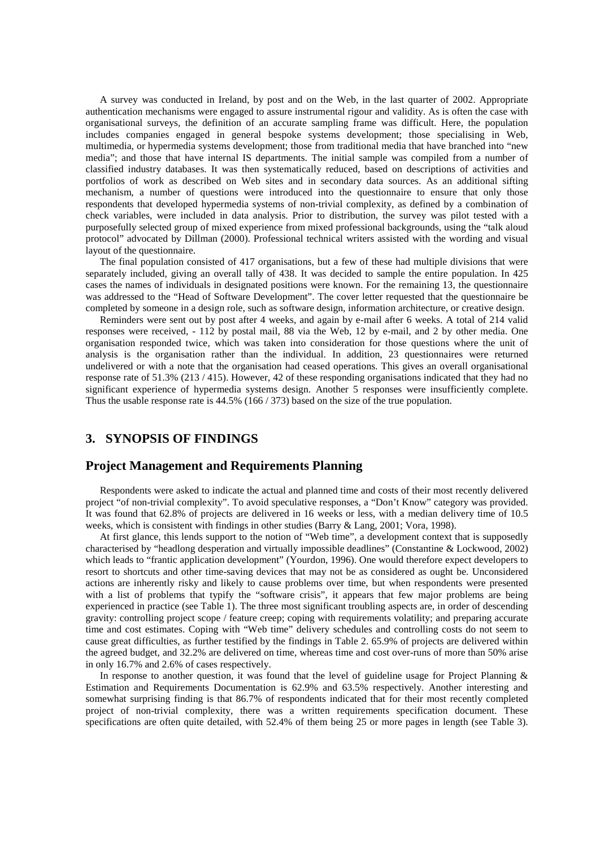A survey was conducted in Ireland, by post and on the Web, in the last quarter of 2002. Appropriate authentication mechanisms were engaged to assure instrumental rigour and validity. As is often the case with organisational surveys, the definition of an accurate sampling frame was difficult. Here, the population includes companies engaged in general bespoke systems development; those specialising in Web, multimedia, or hypermedia systems development; those from traditional media that have branched into "new media"; and those that have internal IS departments. The initial sample was compiled from a number of classified industry databases. It was then systematically reduced, based on descriptions of activities and portfolios of work as described on Web sites and in secondary data sources. As an additional sifting mechanism, a number of questions were introduced into the questionnaire to ensure that only those respondents that developed hypermedia systems of non-trivial complexity, as defined by a combination of check variables, were included in data analysis. Prior to distribution, the survey was pilot tested with a purposefully selected group of mixed experience from mixed professional backgrounds, using the "talk aloud protocol" advocated by Dillman (2000). Professional technical writers assisted with the wording and visual layout of the questionnaire.

The final population consisted of 417 organisations, but a few of these had multiple divisions that were separately included, giving an overall tally of 438. It was decided to sample the entire population. In 425 cases the names of individuals in designated positions were known. For the remaining 13, the questionnaire was addressed to the "Head of Software Development". The cover letter requested that the questionnaire be completed by someone in a design role, such as software design, information architecture, or creative design.

Reminders were sent out by post after 4 weeks, and again by e-mail after 6 weeks. A total of 214 valid responses were received, - 112 by postal mail, 88 via the Web, 12 by e-mail, and 2 by other media. One organisation responded twice, which was taken into consideration for those questions where the unit of analysis is the organisation rather than the individual. In addition, 23 questionnaires were returned undelivered or with a note that the organisation had ceased operations. This gives an overall organisational response rate of 51.3% (213 / 415). However, 42 of these responding organisations indicated that they had no significant experience of hypermedia systems design. Another 5 responses were insufficiently complete. Thus the usable response rate is 44.5% (166 / 373) based on the size of the true population.

# **3. SYNOPSIS OF FINDINGS**

### **Project Management and Requirements Planning**

Respondents were asked to indicate the actual and planned time and costs of their most recently delivered project "of non-trivial complexity". To avoid speculative responses, a "Don't Know" category was provided. It was found that 62.8% of projects are delivered in 16 weeks or less, with a median delivery time of 10.5 weeks, which is consistent with findings in other studies (Barry & Lang, 2001; Vora, 1998).

At first glance, this lends support to the notion of "Web time", a development context that is supposedly characterised by "headlong desperation and virtually impossible deadlines" (Constantine & Lockwood, 2002) which leads to "frantic application development" (Yourdon, 1996). One would therefore expect developers to resort to shortcuts and other time-saving devices that may not be as considered as ought be. Unconsidered actions are inherently risky and likely to cause problems over time, but when respondents were presented with a list of problems that typify the "software crisis", it appears that few major problems are being experienced in practice (see Table 1). The three most significant troubling aspects are, in order of descending gravity: controlling project scope / feature creep; coping with requirements volatility; and preparing accurate time and cost estimates. Coping with "Web time" delivery schedules and controlling costs do not seem to cause great difficulties, as further testified by the findings in Table 2. 65.9% of projects are delivered within the agreed budget, and 32.2% are delivered on time, whereas time and cost over-runs of more than 50% arise in only 16.7% and 2.6% of cases respectively.

In response to another question, it was found that the level of guideline usage for Project Planning & Estimation and Requirements Documentation is 62.9% and 63.5% respectively. Another interesting and somewhat surprising finding is that 86.7% of respondents indicated that for their most recently completed project of non-trivial complexity, there was a written requirements specification document. These specifications are often quite detailed, with 52.4% of them being 25 or more pages in length (see Table 3).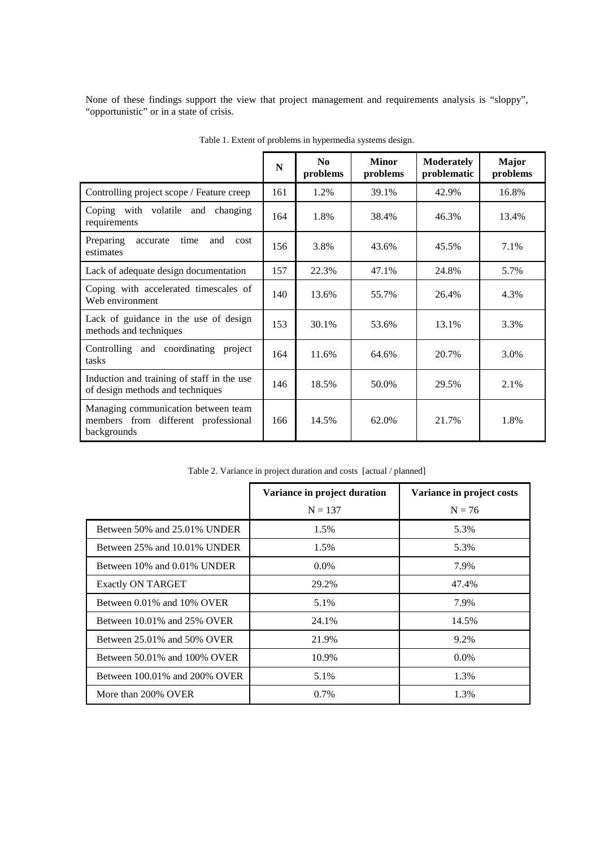None of these findings support the view that project management and requirements analysis is "sloppy", "opportunistic" or in a state of crisis.

|                                                                                           | N   | N <sub>0</sub><br>problems | <b>Minor</b><br>problems | <b>Moderately</b><br>problematic | <b>Major</b><br>problems |
|-------------------------------------------------------------------------------------------|-----|----------------------------|--------------------------|----------------------------------|--------------------------|
| Controlling project scope / Feature creep                                                 | 161 | 1.2%                       | 39.1%                    | 42.9%                            | 16.8%                    |
| Coping with volatile and<br>changing<br>requirements                                      | 164 | 1.8%                       | 38.4%                    | 46.3%                            | 13.4%                    |
| Preparing<br>time<br>and<br>accurate<br>cost<br>estimates                                 | 156 | 3.8%                       | 43.6%                    | 45.5%                            | 7.1%                     |
| Lack of adequate design documentation                                                     | 157 | 22.3%                      | 47.1%                    | 24.8%                            | 5.7%                     |
| Coping with accelerated timescales of<br>Web environment                                  |     | 13.6%                      | 55.7%                    | 26.4%                            | 4.3%                     |
| Lack of guidance in the use of design<br>methods and techniques                           |     | 30.1%                      | 53.6%                    | 13.1%                            | 3.3%                     |
| Controlling and coordinating project<br>tasks                                             | 164 | 11.6%                      | 64.6%                    | 20.7%                            | 3.0%                     |
| Induction and training of staff in the use<br>of design methods and techniques            | 146 | 18.5%                      | 50.0%                    | 29.5%                            | 2.1%                     |
| Managing communication between team<br>members from different professional<br>backgrounds |     | 14.5%                      | 62.0%                    | 21.7%                            | 1.8%                     |

Table 1. Extent of problems in hypermedia systems design.

| Table 2. Variance in project duration and costs [actual / planned] |  |  |  |  |
|--------------------------------------------------------------------|--|--|--|--|
|                                                                    |  |  |  |  |

|                                   | Variance in project duration | Variance in project costs |  |
|-----------------------------------|------------------------------|---------------------------|--|
|                                   | $N = 137$                    | $N = 76$                  |  |
| Between 50% and 25.01% UNDER      | 1.5%                         | 5.3%                      |  |
| Between 25% and 10.01% UNDER      | 1.5%                         | 5.3%                      |  |
| Between 10% and 0.01% UNDER       | $0.0\%$                      | 7.9%                      |  |
| <b>Exactly ON TARGET</b>          | 29.2%                        | 47.4%                     |  |
| Between 0.01% and 10% OVER        | 5.1%                         | 7.9%                      |  |
| Between 10.01% and 25% OVER       | 24.1%                        | 14.5%                     |  |
| Between $25.01\%$ and $50\%$ OVER | 21.9%                        | 9.2%                      |  |
| Between 50.01% and 100% OVER      | 10.9%                        | $0.0\%$                   |  |
| Between 100.01% and 200% OVER     | 5.1%                         | 1.3%                      |  |
| More than 200% OVER               | $0.7\%$                      | 1.3%                      |  |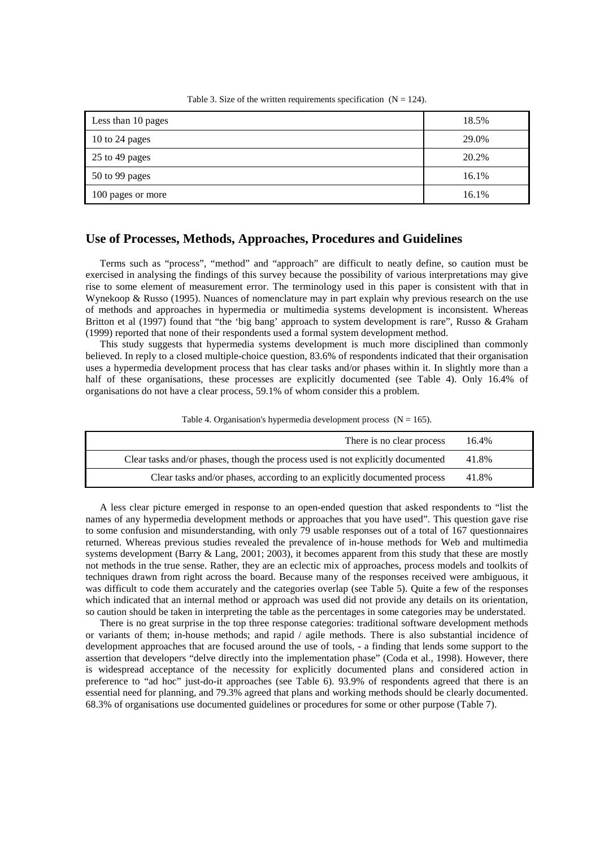| Less than 10 pages | 18.5% |
|--------------------|-------|
| 10 to 24 pages     | 29.0% |
| 25 to 49 pages     | 20.2% |
| 50 to 99 pages     | 16.1% |
| 100 pages or more  | 16.1% |

Table 3. Size of the written requirements specification  $(N = 124)$ .

### **Use of Processes, Methods, Approaches, Procedures and Guidelines**

Terms such as "process", "method" and "approach" are difficult to neatly define, so caution must be exercised in analysing the findings of this survey because the possibility of various interpretations may give rise to some element of measurement error. The terminology used in this paper is consistent with that in Wynekoop & Russo (1995). Nuances of nomenclature may in part explain why previous research on the use of methods and approaches in hypermedia or multimedia systems development is inconsistent. Whereas Britton et al (1997) found that "the 'big bang' approach to system development is rare", Russo & Graham (1999) reported that none of their respondents used a formal system development method.

This study suggests that hypermedia systems development is much more disciplined than commonly believed. In reply to a closed multiple-choice question, 83.6% of respondents indicated that their organisation uses a hypermedia development process that has clear tasks and/or phases within it. In slightly more than a half of these organisations, these processes are explicitly documented (see Table 4). Only 16.4% of organisations do not have a clear process, 59.1% of whom consider this a problem.

Table 4. Organisation's hypermedia development process  $(N = 165)$ .

| There is no clear process                                                       | 16.4% |
|---------------------------------------------------------------------------------|-------|
| Clear tasks and/or phases, though the process used is not explicitly documented | 41.8% |
| Clear tasks and/or phases, according to an explicitly documented process        | 41.8% |

A less clear picture emerged in response to an open-ended question that asked respondents to "list the names of any hypermedia development methods or approaches that you have used". This question gave rise to some confusion and misunderstanding, with only 79 usable responses out of a total of 167 questionnaires returned. Whereas previous studies revealed the prevalence of in-house methods for Web and multimedia systems development (Barry & Lang, 2001; 2003), it becomes apparent from this study that these are mostly not methods in the true sense. Rather, they are an eclectic mix of approaches, process models and toolkits of techniques drawn from right across the board. Because many of the responses received were ambiguous, it was difficult to code them accurately and the categories overlap (see Table 5). Quite a few of the responses which indicated that an internal method or approach was used did not provide any details on its orientation, so caution should be taken in interpreting the table as the percentages in some categories may be understated.

There is no great surprise in the top three response categories: traditional software development methods or variants of them; in-house methods; and rapid / agile methods. There is also substantial incidence of development approaches that are focused around the use of tools, - a finding that lends some support to the assertion that developers "delve directly into the implementation phase" (Coda et al., 1998). However, there is widespread acceptance of the necessity for explicitly documented plans and considered action in preference to "ad hoc" just-do-it approaches (see Table 6). 93.9% of respondents agreed that there is an essential need for planning, and 79.3% agreed that plans and working methods should be clearly documented. 68.3% of organisations use documented guidelines or procedures for some or other purpose (Table 7).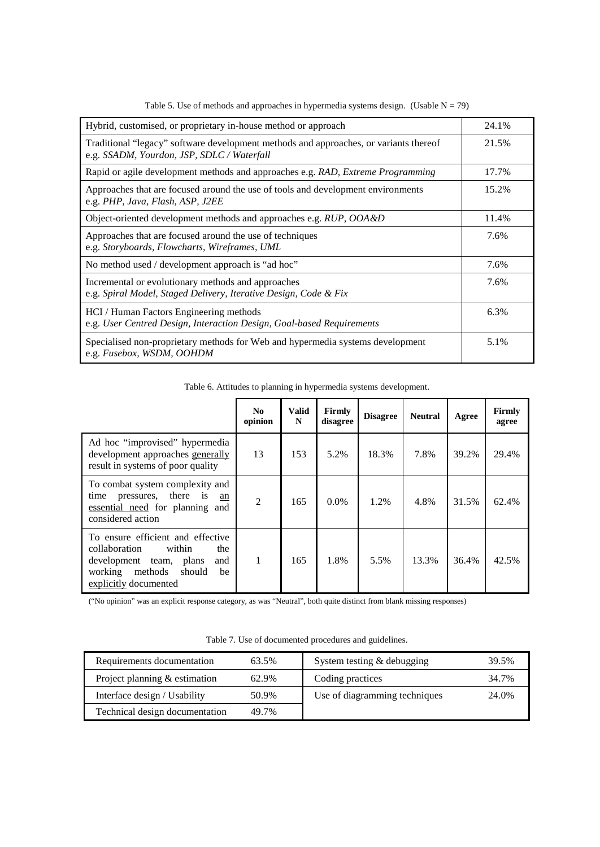| Hybrid, customised, or proprietary in-house method or approach                                                                      | 24.1% |
|-------------------------------------------------------------------------------------------------------------------------------------|-------|
| Traditional "legacy" software development methods and approaches, or variants thereof<br>e.g. SSADM, Yourdon, JSP, SDLC / Waterfall | 21.5% |
| Rapid or agile development methods and approaches e.g. RAD, Extreme Programming                                                     | 17.7% |
| Approaches that are focused around the use of tools and development environments<br>e.g. PHP, Java, Flash, ASP, J2EE                | 15.2% |
| Object-oriented development methods and approaches e.g. RUP, OOA&D                                                                  | 11.4% |
| Approaches that are focused around the use of techniques<br>e.g. Storyboards, Flowcharts, Wireframes, UML                           | 7.6%  |
| No method used / development approach is "ad hoc"                                                                                   | 7.6%  |
| Incremental or evolutionary methods and approaches<br>e.g. Spiral Model, Staged Delivery, Iterative Design, Code & Fix              | 7.6%  |
| HCI / Human Factors Engineering methods<br>e.g. User Centred Design, Interaction Design, Goal-based Requirements                    | 6.3%  |
| Specialised non-proprietary methods for Web and hypermedia systems development<br>e.g. Fusebox, WSDM, OOHDM                         | 5.1%  |

Table 5. Use of methods and approaches in hypermedia systems design. (Usable  $N = 79$ )

Table 6. Attitudes to planning in hypermedia systems development.

|                                                                                                                                                                      | N <sub>0</sub><br>opinion | Valid<br>N | Firmly<br>disagree | <b>Disagree</b> | <b>Neutral</b> | Agree | Firmly<br>agree |
|----------------------------------------------------------------------------------------------------------------------------------------------------------------------|---------------------------|------------|--------------------|-----------------|----------------|-------|-----------------|
| Ad hoc "improvised" hypermedia<br>development approaches generally<br>result in systems of poor quality                                                              | 13                        | 153        | 5.2%               | 18.3%           | 7.8%           | 39.2% | 29.4%           |
| To combat system complexity and<br>time<br>pressures, there<br>is<br>an<br>essential need for planning and<br>considered action                                      | $\overline{2}$            | 165        | $0.0\%$            | 1.2%            | 4.8%           | 31.5% | 62.4%           |
| To ensure efficient and effective<br>collaboration<br>within<br>the<br>development team, plans<br>and<br>working<br>methods<br>should<br>be<br>explicitly documented | 1                         | 165        | 1.8%               | 5.5%            | 13.3%          | 36.4% | 42.5%           |

("No opinion" was an explicit response category, as was "Neutral", both quite distinct from blank missing responses)

| Requirements documentation      | 63.5% | System testing & debugging    | 39.5% |
|---------------------------------|-------|-------------------------------|-------|
| Project planning $&$ estimation | 62.9% | Coding practices              | 34.7% |
| Interface design / Usability    | 50.9% | Use of diagramming techniques | 24.0% |
| Technical design documentation  | 49.7% |                               |       |

Table 7. Use of documented procedures and guidelines.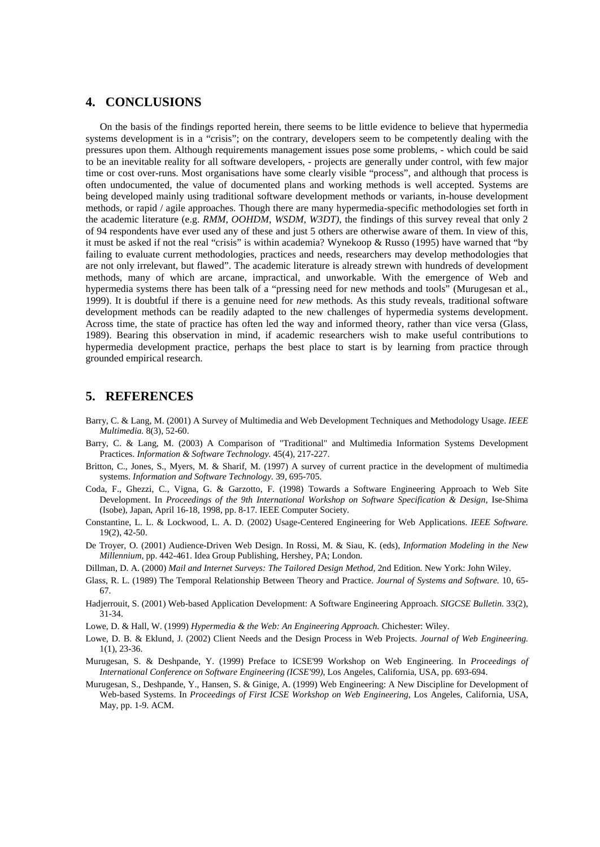## **4. CONCLUSIONS**

On the basis of the findings reported herein, there seems to be little evidence to believe that hypermedia systems development is in a "crisis"; on the contrary, developers seem to be competently dealing with the pressures upon them. Although requirements management issues pose some problems, - which could be said to be an inevitable reality for all software developers, - projects are generally under control, with few major time or cost over-runs. Most organisations have some clearly visible "process", and although that process is often undocumented, the value of documented plans and working methods is well accepted. Systems are being developed mainly using traditional software development methods or variants, in-house development methods, or rapid / agile approaches. Though there are many hypermedia-specific methodologies set forth in the academic literature (e.g. *RMM*, *OOHDM*, *WSDM*, *W3DT)*, the findings of this survey reveal that only 2 of 94 respondents have ever used any of these and just 5 others are otherwise aware of them. In view of this, it must be asked if not the real "crisis" is within academia? Wynekoop & Russo (1995) have warned that "by failing to evaluate current methodologies, practices and needs, researchers may develop methodologies that are not only irrelevant, but flawed". The academic literature is already strewn with hundreds of development methods, many of which are arcane, impractical, and unworkable. With the emergence of Web and hypermedia systems there has been talk of a "pressing need for new methods and tools" (Murugesan et al., 1999). It is doubtful if there is a genuine need for *new* methods. As this study reveals, traditional software development methods can be readily adapted to the new challenges of hypermedia systems development. Across time, the state of practice has often led the way and informed theory, rather than vice versa (Glass, 1989). Bearing this observation in mind, if academic researchers wish to make useful contributions to hypermedia development practice, perhaps the best place to start is by learning from practice through grounded empirical research.

### **5. REFERENCES**

- Barry, C. & Lang, M. (2001) A Survey of Multimedia and Web Development Techniques and Methodology Usage. *IEEE Multimedia.* 8(3), 52-60.
- Barry, C. & Lang, M. (2003) A Comparison of "Traditional" and Multimedia Information Systems Development Practices. *Information & Software Technology.* 45(4), 217-227.
- Britton, C., Jones, S., Myers, M. & Sharif, M. (1997) A survey of current practice in the development of multimedia systems. *Information and Software Technology.* 39, 695-705.
- Coda, F., Ghezzi, C., Vigna, G. & Garzotto, F. (1998) Towards a Software Engineering Approach to Web Site Development. In *Proceedings of the 9th International Workshop on Software Specification & Design*, Ise-Shima (Isobe), Japan, April 16-18, 1998, pp. 8-17. IEEE Computer Society.
- Constantine, L. L. & Lockwood, L. A. D. (2002) Usage-Centered Engineering for Web Applications. *IEEE Software.* 19(2), 42-50.
- De Troyer, O. (2001) Audience-Driven Web Design. In Rossi, M. & Siau, K. (eds), *Information Modeling in the New Millennium,* pp. 442-461. Idea Group Publishing, Hershey, PA; London.
- Dillman, D. A. (2000) *Mail and Internet Surveys: The Tailored Design Method*, 2nd Edition*.* New York: John Wiley.
- Glass, R. L. (1989) The Temporal Relationship Between Theory and Practice. *Journal of Systems and Software.* 10, 65- 67.
- Hadjerrouit, S. (2001) Web-based Application Development: A Software Engineering Approach. *SIGCSE Bulletin.* 33(2), 31-34.
- Lowe, D. & Hall, W. (1999) *Hypermedia & the Web: An Engineering Approach.* Chichester: Wiley.
- Lowe, D. B. & Eklund, J. (2002) Client Needs and the Design Process in Web Projects. *Journal of Web Engineering.* 1(1), 23-36.
- Murugesan, S. & Deshpande, Y. (1999) Preface to ICSE'99 Workshop on Web Engineering. In *Proceedings of International Conference on Software Engineering (ICSE'99)*, Los Angeles, California, USA, pp. 693-694.
- Murugesan, S., Deshpande, Y., Hansen, S. & Ginige, A. (1999) Web Engineering: A New Discipline for Development of Web-based Systems. In *Proceedings of First ICSE Workshop on Web Engineering*, Los Angeles, California, USA, May, pp. 1-9. ACM.